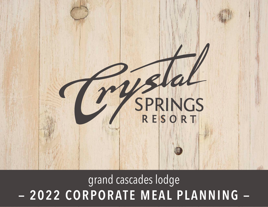

# **TheCrystalSpringsResort.com | Sussex County, New Jersey | 2022** – 2022 CORPORATE MEAL PLANNING – grand cascades lodge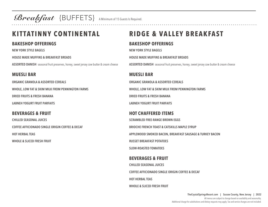Breakfast {BUFFETS} A Minimum of 15 Guests Is Required.

## **KITTATINNY CONTINENTAL**

#### **BAKESHOP OFFERINGS**

**NEW YORK STYLE BAGELS**

**HOUSE MADE MUFFINS & BREAKFAST BREADS**

**ASSORTED DANISH** seasonal fruit preserves, honey, sweet jersey cow butter & cream cheese

#### **MUESLI BAR**

**ORGANIC GRANOLA & ASSORTED CEREALS**

**WHOLE, LOW FAT & SKIM MILK FROM PENNINGTON FARMS**

**DRIED FRUITS & FRESH BANANA**

**LABNEH YOGURT FRUIT PARFAITS**

### **BEVERAGES & FRUIT**

**CHILLED SEASONAL JUICES COFFEE AFFICIONADO SINGLE ORIGIN COFFEE & DECAF HOT HERBAL TEAS**

**WHOLE & SLICED FRESH FRUIT**

## **RIDGE & VALLEY BREAKFAST**

#### **BAKESHOP OFFERINGS**

**NEW YORK STYLE BAGELS**

**HOUSE MADE MUFFINS & BREAKFAST BREADS**

**ASSORTED DANISH** seasonal fruit preserves, honey, sweet jersey cow butter & cream cheese

#### **MUESLI BAR**

**ORGANIC GRANOLA & ASSORTED CEREALS**

**WHOLE, LOW FAT & SKIM MILK FROM PENNINGTON FARMS**

**DRIED FRUITS & FRESH BANANA**

**LABNEH YOGURT FRUIT PARFAITS**

#### **HOT CHAFFERED ITEMS**

**SCRAMBLED FREE-RANGE BROWN EGGS BRIOCHE FRENCH TOAST & CATSKILLS MAPLE SYRUP APPLEWOOD SMOKED BACON, BREAKFAST SAUSAGE & TURKEY BACON RUSSET BREAKFAST POTATOES SLOW-ROASTED TOMATOES**

#### **BEVERAGES & FRUIT**

**CHILLED SEASONAL JUICES COFFEE AFFICIONADO SINGLE ORIGIN COFFEE & DECAF HOT HERBAL TEAS WHOLE & SLICED FRESH FRUIT**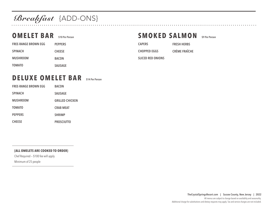# Breakfast {ADD-ONS}

| <b>OMELET BAR</b> \$10 Per Person |                |
|-----------------------------------|----------------|
| <b>FREE-RANGE BROWN EGG</b>       | <b>PEPPERS</b> |
| <b>SPINACH</b>                    | <b>CHEESE</b>  |
| <b>MUSHROOM</b>                   | <b>BACON</b>   |
| <b>TOMATO</b>                     | <b>SAUSAGE</b> |

## **SMOKED SALMON** \$9 Per Person

| <b>CAPERS</b>            | <b>FRESH HERBS</b>   |
|--------------------------|----------------------|
| <b>CHOPPED EGGS</b>      | <b>CRÈME FRAÎCHE</b> |
| <b>SLICED RED ONIONS</b> |                      |
|                          |                      |

### **DELUXE OMELET BAR \$14 Per Person**

| <b>FREE-RANGE BROWN EGG</b> | <b>BACON</b>           |
|-----------------------------|------------------------|
| <b>SPINACH</b>              | <b>SAUSAGE</b>         |
| <b>MUSHROOM</b>             | <b>GRILLED CHICKEN</b> |
| <b>TOMATO</b>               | <b>CRAB MEAT</b>       |
| <b>PEPPERS</b>              | <b>SHRIMP</b>          |
| <b>CHEESE</b>               | <b>PROSCIUTTO</b>      |

#### **{ALL OMELETS ARE COOKED TO ORDER}**

Chef Required — \$100 fee will apply Minimum of 25 people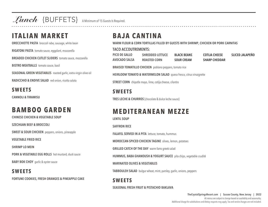Lunch {BUFFETS} A Minimum of 15 Guests Is Required.

### **ITALIAN MARKET**

**ORECCHIETTE PASTA** broccoli rabe, sausage, white bean

**RIGATONI PASTA** tomato sauce, eggplant, mozzarella

**BREADED CHICKEN CUTLET SLIDERS** tomato sauce, mozzarella

**BISTRO MEATBALLS** tomato sauce, basil

**SEASONAL GREEN VEGETABLES** roasted garlic, extra virgin olive oil

**RADICCHIO & ENDIVE SALAD** red onion, ricotta salata

#### **SWEETS**

**CANNOLI & TIRAMISU**

### **BAMBOO GARDEN**

**CHINESE CHICKEN & VEGETABLE SOUP**

**SZECHUAN BEEF & BROCCOLI**

**SWEET & SOUR CHICKEN** peppers, onions, pineapple

**VEGETABLE FRIED RICE**

**SHRIMP LO MEIN**

**PORK & VEGETABLE EGG ROLLS** hot mustard, duck sauce

**BABY BOK CHOY** garlic & oyster sauce

### **SWEETS**

**FORTUNE COOKIES, FRESH ORANGES & PINEAPPLE CAKE**

## **BAJA CANTINA**

**WARM FLOUR & CORN TORTILLAS FILLED BY GUESTS WITH SHRIMP, CHICKEN OR PORK CARNITAS** 

**TACO ACCOUTREMENTS:**

| PICO DE GALLO | <b>SHREDDED LETTUCE</b> | <b>BLACK BEANS</b> | <b>COTIJA CHEESE</b> | <b>SLICED JALAPENO</b> |
|---------------|-------------------------|--------------------|----------------------|------------------------|
| AVOCADO SALSA | <b>ROASTED CORN</b>     | <b>SOUR CREAM</b>  | <b>SHARP CHEDDAR</b> |                        |

**BRAISED TOMATILLO CHICKEN** poblano peppers, tomato rice

**HEIRLOOM TOMATO & WATERMELON SALAD** queso fresco, citrus vinaigrette

**STREET CORN** chipotle mayo, lime, cotija cheese, cilantro

### **SWEETS**

**TRES LECHE & CHURROS** {chocolate & dulce leche sauce}

### **MEDITERANEAN MEZZE**

**LENTIL SOUP**

**SAFFRON RICE**

**FALAFEL SERVED IN A PITA** lettuce, tomato, hummus

**MOROCCAN-SPICED CHICKEN TAGINE** olives, lemon, potatoes

**GRILLED CATCH OF THE DAY** warm farro greek salad

**HUMMUS, BABA GHANOUSH & YOGURT SAUCE** pita chips, vegetable crudité

**MARINATED OLIVES & VEGETABLES**

**TABBOULEH SALAD** bulgur wheat, mint, parsley, garlic, onions, peppers

**SWEETS SEASONAL FRESH FRUIT & PISTACHIO BAKLAVA**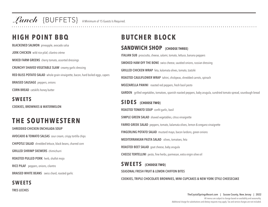Lunch {BUFFETS} A Minimum of 15 Guests Is Required.

## **HIGH POINT BBQ**

**BLACKENED SALMON** pineapple, avocado salsa

**JERK CHICKEN** wild rice pilaf, cilantro crème

**MIXED FARM GREENS** cherry tomato, assorted dressings

**CRUNCHY SHAVED VEGETABLE SLAW** creamy garlic dressing

**RED BLISS POTATO SALAD** whole grain vinaigrette, bacon, hard boiled eggs, capers

**BRAISED SAUSAGE** peppers, onions

**CORN BREAD** catskills honey butter

### **SWEETS**

**COOKIES, BROWNIES & WATERMELON**

## **THE SOUTHWESTERN**

**SHREDDED CHICKEN ENCHILADA SOUP**

**AVOCADO & TOMATO SALSAS** sour cream, crispy tortilla chips

**CHIPOTLE SALAD** shredded lettuce, black beans, charred corn

**GRILLED SHRIMP SKEWERS** chimichurri

**ROASTED PULLED PORK** herb, shallot mojo

**RICE PILAF** peppers, onions, cilantro

**BRAISED WHITE BEANS** swiss chard, roasted garlic

### **SWEETS**

**TRES LECHES**

# **BUTCHER BLOCK**

### **SANDWICH SHOP {CHOOSE THREE}**

**ITALIAN SUB** prosciutto, cheese, salami, tomato, lettuce, banana peppers **SMOKED HAM OFF THE BONE** swiss cheese, sautéed onions, russian dressing **GRILLED CHICKEN WRAP** feta, kalamata olives, tomato, tzatziki **ROASTED CAULIFLOWER WRAP** tahini, chickpeas, shredded carrots, spinach **MOZZARELLA PANINI** roasted red peppers, fresh basil pesto **GARDEN** grilled vegetables, tomatoes, spanish roasted peppers, baby arugula, sundried tomato spread, sourdough bread **SIDES {CHOOSE TWO} ROASTED TOMATO SOUP** confit garlic, basil **SIMPLE GREEN SALAD** shaved vegetables, citrus vinaigrette **FARRO GREEK SALAD** peppers, tomato, kalamata olives, lemon & oregano vinaigrette **FINGERLING POTATO SALAD** mustard mayo, bacon lardons, green onions **MEDITERRANEAN PASTA SALAD** olives, tomatoes, feta **ROASTED BEET SALAD** goat cheese, baby arugula **CHEESE TORTELLINI** pesto, fine herbs, parmesan, extra virgin olive oil

**SWEETS {CHOOSE TWO} SEASONAL FRESH FRUIT & LEMON CHIFFON BITES COOKIES, TRIPLE CHOCOLATE BROWNIES, MINI CUPCAKES & NEW YORK STYLE CHEESECAKE**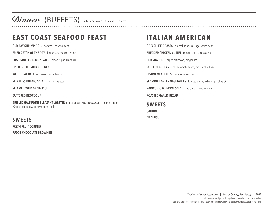**Dinner** {BUFFETS} A Minimum of 15 Guests Is Required.

## **EAST COAST SEAFOOD FEAST**

**OLD BAY SHRIMP BOIL** potatoes, chorizo, corn

**FRIED CATCH OF THE DAY** house tartar sauce, lemon

**CRAB-STUFFED LEMON SOLE** lemon & paprika sauce

**FRIED BUTTERMILK CHICKEN**

**WEDGE SALAD** blue cheese, bacon lardons

**RED BLISS POTATO SALAD** dill vinaigrette

**STEAMED WILD GRAIN RICE**

**BUTTERED BROCCOLINI**

**GRILLED HALF POINT PLEASANT LOBSTER {1 PER GUEST - ADDITIONAL COST}** garlic butter {Chef to prepare & remove from shell}

#### **SWEETS**

**FRESH FRUIT COBBLER FUDGE CHOCOLATE BROWNIES**

### **ITALIAN AMERICAN**

**ORECCHIETTE PASTA** broccoli rabe, sausage, white bean **BREADED CHICKEN CUTLET** tomato sauce, mozzarella **RED SNAPPER** caper, artichoke, oreganata **ROLLED EGGPLANT** plum tomato sauce, mozzarella, basil **BISTRO MEATBALLS** tomato sauce, basil **SEASONAL GREEN VEGETABLES** toasted garlic, extra virgin olive oil **RADICCHIO & ENDIVE SALAD** red onion, ricotta salata **ROASTED GARLIC BREAD**

**SWEETS CANNOLI TIRAMISU**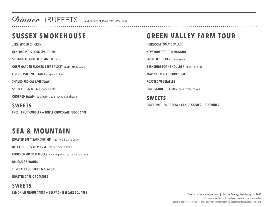Dinner {BUFFETS} A Minimum of 15 Guests Is Required.

### **SUSSEX SMOKEHOUSE**

**JERK-SPICED CHICKEN GENERAL TSO'S PORK SPARE RIBS SPLIT-BACK SMOKED SHRIMP & GRITS CHEFS GARDEN SMOKED BEEF BRISKET {ADDITIONAL COST} FIRE-ROASTED VEGETABLES** garlic butter **SHAVED RED CABBAGE SLAW SKILLET CORN BREAD** honey butter **CHOPPED SALAD** egg, bacon, point reyes blue cheese

**SWEETS FRESH FRUIT COBBLER + TRIPLE CHOCOLATE FUDGE CAKE**

### **SEA & MOUNTAIN**

**ROASTED SPLIT-BACK SHRIMP** fine herb & garlic butter

**BEEF FILET TIPS AU POIVRE** roasted pearl onions

**CHOPPED MIXED LETTUCES** ancient grains, mustard vinaigrette

**BRUSSELS SPROUTS**

**THREE CHEESE BAKED MACARONI**

**ROASTED GARLIC POTATOES**

#### **SWEETS**

**LEMON MERINGUE TARTS + BERRY CHEESECAKE SQUARES**

### **GREEN VALLEY FARM TOUR**

**HEIRLOOM TOMATO SALAD NEW YORK TROUT ALMONDINE SMOKED CHICKEN** salsa verde **BERKSHIRE PORK SHOULDER** mojo herb rub **MARINATED BEEF SKIRT STEAK ROASTED VEGETABLES**

**PINE ISLAND POTATOES** sour cream, chives

**SWEETS PINEAPPLE UPSIDE DOWN CAKE, COOKIES + BROWNIES**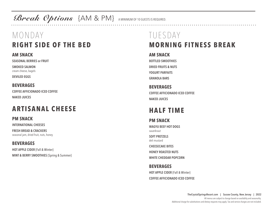Break Options {AM & PM} A MINIMUM OF 10 GUESTS IS REQUIRED.

# MONDAY **RIGHT SIDE OF THE BED**

**AM SNACK** 

**SEASONAL BERRIES or FRUIT SMOKED SALMON**

cream cheese, bagels

**DEVILED EGGS**

**BEVERAGES COFFEE AFFICIONADO ICED COFFEE NAKED JUICES**

## **ARTISANAL CHEESE**

**PM SNACK** 

**INTERNATIONAL CHEESES**

**FRESH BREAD & CRACKERS** seasonal jam, dried fruit, nuts, honey

**BEVERAGES HOT APPLE CIDER** {Fall & Winter} **MINT & BERRY SMOOTHIES** {Spring & Summer}

# TUESDAY **MORNING FITNESS BREAK**

**AM SNACK** 

**BOTTLED SMOOTHIES DRIED FRUITS & NUTS YOGURT PARFAITS GRANOLA BARS**

**BEVERAGES COFFEE AFFICIONADO ICED COFFEE NAKED JUICES**

## **HALF TIME**

**PM SNACK WAGYU BEEF HOT DOGS**  sauerkraut

**SOFT PRETZELS**  deli mustard

**CHEESECAKE BITES HONEY ROASTED NUTS WHITE CHEDDAR POPCORN**

**BEVERAGES HOT APPLE CIDER** {Fall & Winter} **COFFEE AFFICIONADO ICED COFFEE**